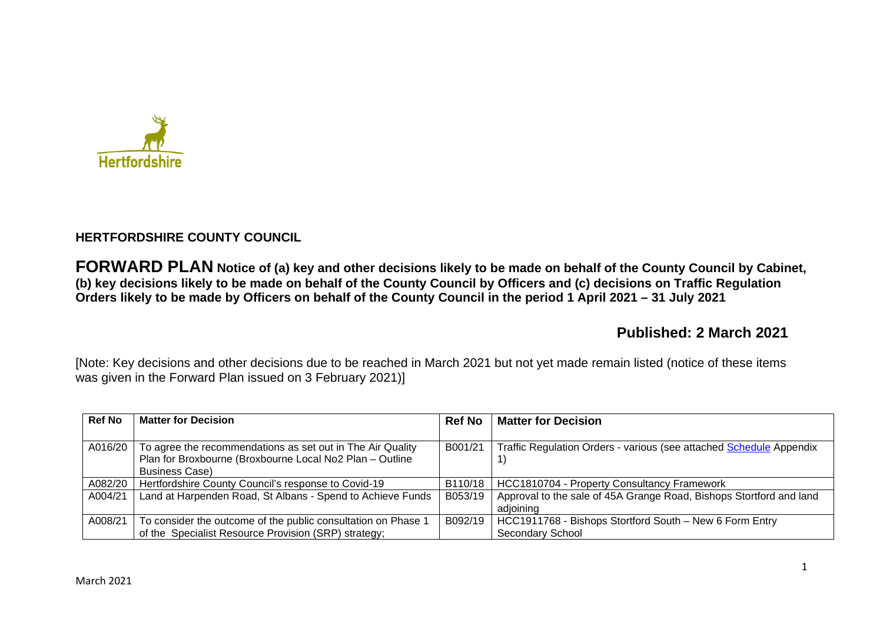

# **HERTFORDSHIRE COUNTY COUNCIL**

**FORWARD PLAN Notice of (a) key and other decisions likely to be made on behalf of the County Council by Cabinet, (b) key decisions likely to be made on behalf of the County Council by Officers and (c) decisions on Traffic Regulation Orders likely to be made by Officers on behalf of the County Council in the period 1 April 2021 – 31 July 2021** 

# **Published: 2 March 2021**

[Note: Key decisions and other decisions due to be reached in March 2021 but not yet made remain listed (notice of these items was given in the Forward Plan issued on 3 February 2021)]

| <b>Ref No</b> | <b>Matter for Decision</b>                                    | <b>Ref No</b> | <b>Matter for Decision</b>                                          |
|---------------|---------------------------------------------------------------|---------------|---------------------------------------------------------------------|
|               |                                                               |               |                                                                     |
| A016/20       | To agree the recommendations as set out in The Air Quality    | B001/21       | Traffic Regulation Orders - various (see attached Schedule Appendix |
|               | Plan for Broxbourne (Broxbourne Local No2 Plan - Outline      |               |                                                                     |
|               | <b>Business Case)</b>                                         |               |                                                                     |
| A082/20       | Hertfordshire County Council's response to Covid-19           | B110/18       | HCC1810704 - Property Consultancy Framework                         |
| A004/21       | Land at Harpenden Road, St Albans - Spend to Achieve Funds    | B053/19       | Approval to the sale of 45A Grange Road, Bishops Stortford and land |
|               |                                                               |               | adioining                                                           |
| A008/21       | To consider the outcome of the public consultation on Phase 1 | B092/19       | HCC1911768 - Bishops Stortford South - New 6 Form Entry             |
|               | of the Specialist Resource Provision (SRP) strategy;          |               | Secondary School                                                    |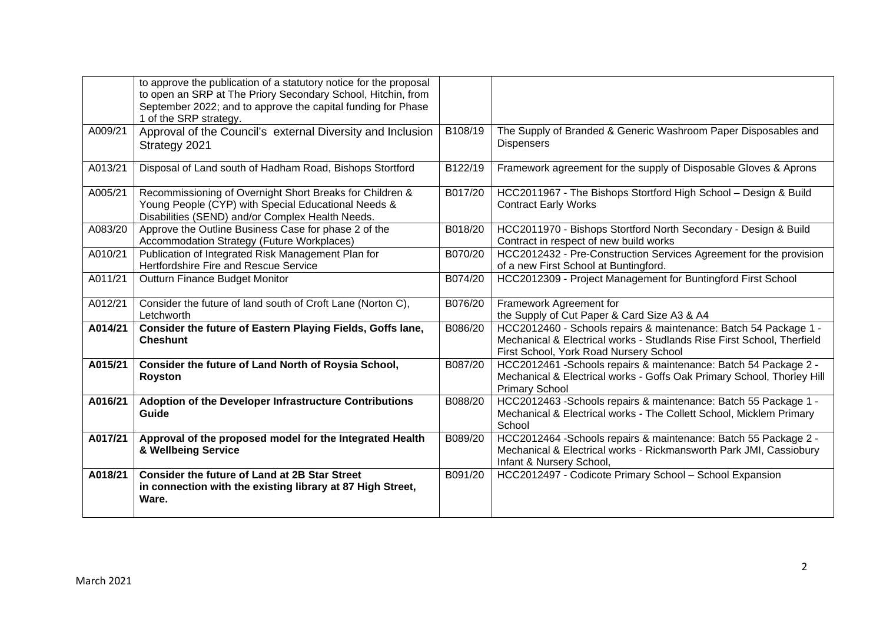|         | to approve the publication of a statutory notice for the proposal<br>to open an SRP at The Priory Secondary School, Hitchin, from<br>September 2022; and to approve the capital funding for Phase<br>1 of the SRP strategy. |         |                                                                                                                                                                                      |
|---------|-----------------------------------------------------------------------------------------------------------------------------------------------------------------------------------------------------------------------------|---------|--------------------------------------------------------------------------------------------------------------------------------------------------------------------------------------|
| A009/21 | Approval of the Council's external Diversity and Inclusion<br>Strategy 2021                                                                                                                                                 | B108/19 | The Supply of Branded & Generic Washroom Paper Disposables and<br><b>Dispensers</b>                                                                                                  |
| A013/21 | Disposal of Land south of Hadham Road, Bishops Stortford                                                                                                                                                                    | B122/19 | Framework agreement for the supply of Disposable Gloves & Aprons                                                                                                                     |
| A005/21 | Recommissioning of Overnight Short Breaks for Children &<br>Young People (CYP) with Special Educational Needs &<br>Disabilities (SEND) and/or Complex Health Needs.                                                         | B017/20 | HCC2011967 - The Bishops Stortford High School - Design & Build<br><b>Contract Early Works</b>                                                                                       |
| A083/20 | Approve the Outline Business Case for phase 2 of the<br>Accommodation Strategy (Future Workplaces)                                                                                                                          | B018/20 | HCC2011970 - Bishops Stortford North Secondary - Design & Build<br>Contract in respect of new build works                                                                            |
| A010/21 | Publication of Integrated Risk Management Plan for<br>Hertfordshire Fire and Rescue Service                                                                                                                                 | B070/20 | HCC2012432 - Pre-Construction Services Agreement for the provision<br>of a new First School at Buntingford.                                                                          |
| A011/21 | Outturn Finance Budget Monitor                                                                                                                                                                                              | B074/20 | HCC2012309 - Project Management for Buntingford First School                                                                                                                         |
| A012/21 | Consider the future of land south of Croft Lane (Norton C),<br>Letchworth                                                                                                                                                   | B076/20 | Framework Agreement for<br>the Supply of Cut Paper & Card Size A3 & A4                                                                                                               |
| A014/21 | Consider the future of Eastern Playing Fields, Goffs lane,<br><b>Cheshunt</b>                                                                                                                                               | B086/20 | HCC2012460 - Schools repairs & maintenance: Batch 54 Package 1 -<br>Mechanical & Electrical works - Studlands Rise First School, Therfield<br>First School, York Road Nursery School |
| A015/21 | Consider the future of Land North of Roysia School,<br><b>Royston</b>                                                                                                                                                       | B087/20 | HCC2012461 -Schools repairs & maintenance: Batch 54 Package 2 -<br>Mechanical & Electrical works - Goffs Oak Primary School, Thorley Hill<br><b>Primary School</b>                   |
| A016/21 | Adoption of the Developer Infrastructure Contributions<br>Guide                                                                                                                                                             | B088/20 | HCC2012463 - Schools repairs & maintenance: Batch 55 Package 1 -<br>Mechanical & Electrical works - The Collett School, Micklem Primary<br>School                                    |
| A017/21 | Approval of the proposed model for the Integrated Health<br>& Wellbeing Service                                                                                                                                             | B089/20 | HCC2012464 -Schools repairs & maintenance: Batch 55 Package 2 -<br>Mechanical & Electrical works - Rickmansworth Park JMI, Cassiobury<br>Infant & Nursery School,                    |
| A018/21 | <b>Consider the future of Land at 2B Star Street</b><br>in connection with the existing library at 87 High Street,<br>Ware.                                                                                                 | B091/20 | HCC2012497 - Codicote Primary School - School Expansion                                                                                                                              |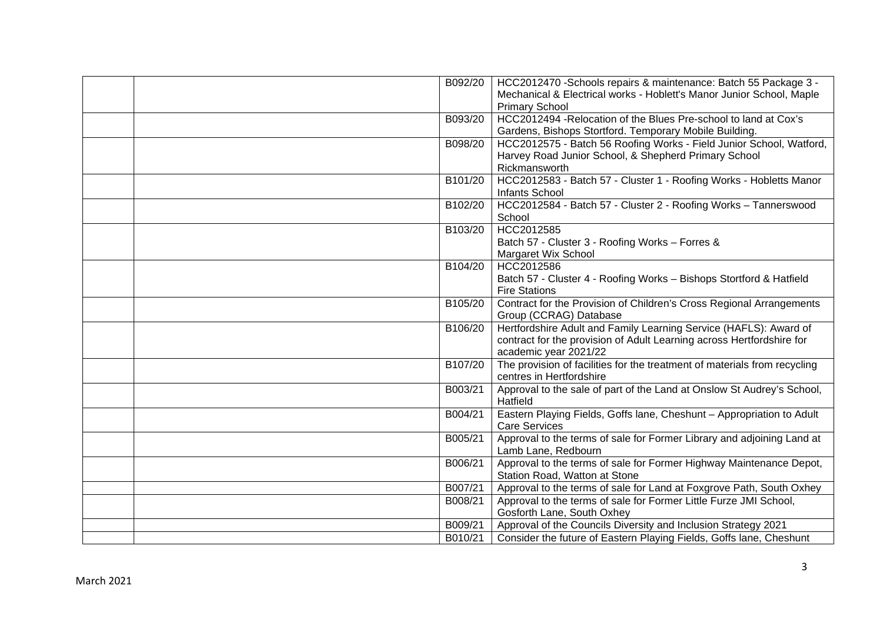| B092/20 | HCC2012470 -Schools repairs & maintenance: Batch 55 Package 3 -                               |
|---------|-----------------------------------------------------------------------------------------------|
|         | Mechanical & Electrical works - Hoblett's Manor Junior School, Maple<br><b>Primary School</b> |
| B093/20 | HCC2012494 - Relocation of the Blues Pre-school to land at Cox's                              |
|         | Gardens, Bishops Stortford. Temporary Mobile Building.                                        |
| B098/20 | HCC2012575 - Batch 56 Roofing Works - Field Junior School, Watford,                           |
|         | Harvey Road Junior School, & Shepherd Primary School                                          |
|         | Rickmansworth                                                                                 |
| B101/20 | HCC2012583 - Batch 57 - Cluster 1 - Roofing Works - Hobletts Manor                            |
|         | Infants School                                                                                |
| B102/20 | HCC2012584 - Batch 57 - Cluster 2 - Roofing Works - Tannerswood                               |
|         | School                                                                                        |
| B103/20 | HCC2012585                                                                                    |
|         | Batch 57 - Cluster 3 - Roofing Works - Forres &<br>Margaret Wix School                        |
| B104/20 | HCC2012586                                                                                    |
|         | Batch 57 - Cluster 4 - Roofing Works - Bishops Stortford & Hatfield                           |
|         | <b>Fire Stations</b>                                                                          |
| B105/20 | Contract for the Provision of Children's Cross Regional Arrangements                          |
|         | Group (CCRAG) Database                                                                        |
| B106/20 | Hertfordshire Adult and Family Learning Service (HAFLS): Award of                             |
|         | contract for the provision of Adult Learning across Hertfordshire for                         |
|         | academic year 2021/22                                                                         |
| B107/20 | The provision of facilities for the treatment of materials from recycling                     |
|         | centres in Hertfordshire                                                                      |
| B003/21 | Approval to the sale of part of the Land at Onslow St Audrey's School,<br>Hatfield            |
| B004/21 | Eastern Playing Fields, Goffs lane, Cheshunt - Appropriation to Adult                         |
|         | <b>Care Services</b>                                                                          |
| B005/21 | Approval to the terms of sale for Former Library and adjoining Land at<br>Lamb Lane, Redbourn |
| B006/21 | Approval to the terms of sale for Former Highway Maintenance Depot,                           |
|         | Station Road, Watton at Stone                                                                 |
| B007/21 | Approval to the terms of sale for Land at Foxgrove Path, South Oxhey                          |
| B008/21 | Approval to the terms of sale for Former Little Furze JMI School,                             |
|         | Gosforth Lane, South Oxhey                                                                    |
| B009/21 | Approval of the Councils Diversity and Inclusion Strategy 2021                                |
| B010/21 | Consider the future of Eastern Playing Fields, Goffs lane, Cheshunt                           |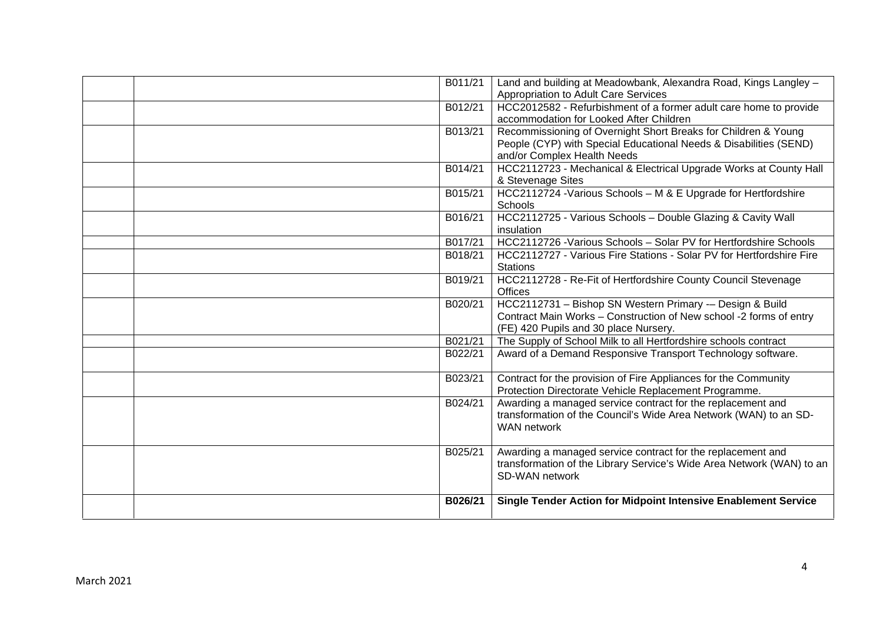|  | B011/21 | Land and building at Meadowbank, Alexandra Road, Kings Langley -                        |
|--|---------|-----------------------------------------------------------------------------------------|
|  |         | Appropriation to Adult Care Services                                                    |
|  | B012/21 | HCC2012582 - Refurbishment of a former adult care home to provide                       |
|  |         | accommodation for Looked After Children                                                 |
|  | B013/21 | Recommissioning of Overnight Short Breaks for Children & Young                          |
|  |         | People (CYP) with Special Educational Needs & Disabilities (SEND)                       |
|  |         | and/or Complex Health Needs                                                             |
|  | B014/21 | HCC2112723 - Mechanical & Electrical Upgrade Works at County Hall                       |
|  |         | & Stevenage Sites                                                                       |
|  | B015/21 | HCC2112724 - Various Schools - M & E Upgrade for Hertfordshire                          |
|  |         | Schools                                                                                 |
|  | B016/21 | HCC2112725 - Various Schools - Double Glazing & Cavity Wall                             |
|  |         | insulation                                                                              |
|  | B017/21 | HCC2112726 - Various Schools - Solar PV for Hertfordshire Schools                       |
|  | B018/21 | HCC2112727 - Various Fire Stations - Solar PV for Hertfordshire Fire                    |
|  |         | <b>Stations</b>                                                                         |
|  | B019/21 | HCC2112728 - Re-Fit of Hertfordshire County Council Stevenage                           |
|  |         | Offices                                                                                 |
|  | B020/21 | HCC2112731 - Bishop SN Western Primary -- Design & Build                                |
|  |         | Contract Main Works - Construction of New school -2 forms of entry                      |
|  |         | (FE) 420 Pupils and 30 place Nursery.                                                   |
|  | B021/21 | The Supply of School Milk to all Hertfordshire schools contract                         |
|  | B022/21 | Award of a Demand Responsive Transport Technology software.                             |
|  |         |                                                                                         |
|  | B023/21 | Contract for the provision of Fire Appliances for the Community                         |
|  |         | Protection Directorate Vehicle Replacement Programme.                                   |
|  | B024/21 | Awarding a managed service contract for the replacement and                             |
|  |         | transformation of the Council's Wide Area Network (WAN) to an SD-                       |
|  |         | <b>WAN network</b>                                                                      |
|  |         |                                                                                         |
|  | B025/21 | Awarding a managed service contract for the replacement and                             |
|  |         | transformation of the Library Service's Wide Area Network (WAN) to an<br>SD-WAN network |
|  |         |                                                                                         |
|  | B026/21 | Single Tender Action for Midpoint Intensive Enablement Service                          |
|  |         |                                                                                         |
|  |         |                                                                                         |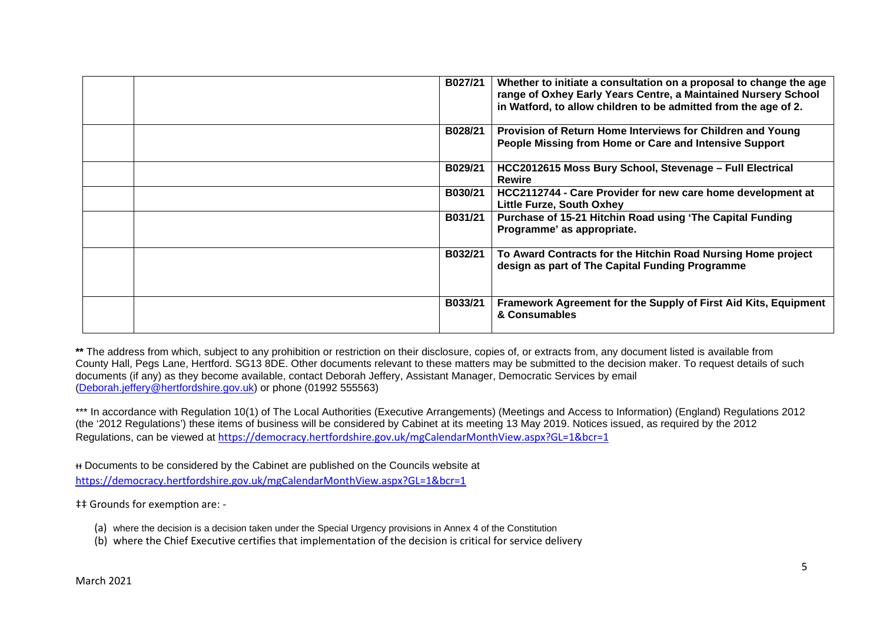| B027/21 | Whether to initiate a consultation on a proposal to change the age<br>range of Oxhey Early Years Centre, a Maintained Nursery School<br>in Watford, to allow children to be admitted from the age of 2. |
|---------|---------------------------------------------------------------------------------------------------------------------------------------------------------------------------------------------------------|
| B028/21 | Provision of Return Home Interviews for Children and Young<br>People Missing from Home or Care and Intensive Support                                                                                    |
| B029/21 | HCC2012615 Moss Bury School, Stevenage - Full Electrical<br><b>Rewire</b>                                                                                                                               |
| B030/21 | HCC2112744 - Care Provider for new care home development at<br><b>Little Furze, South Oxhey</b>                                                                                                         |
| B031/21 | Purchase of 15-21 Hitchin Road using 'The Capital Funding<br>Programme' as appropriate.                                                                                                                 |
| B032/21 | To Award Contracts for the Hitchin Road Nursing Home project<br>design as part of The Capital Funding Programme                                                                                         |
| B033/21 | Framework Agreement for the Supply of First Aid Kits, Equipment<br>& Consumables                                                                                                                        |

\*\* The address from which, subject to any prohibition or restriction on their disclosure, copies of, or extracts from, any document listed is available from County Hall, Pegs Lane, Hertford. SG13 8DE. Other documents relevant to these matters may be submitted to the decision maker. To request details of such documents (if any) as they become available, contact Deborah Jeffery, Assistant Manager, Democratic Services by email (Deborah.jeffery@hertfordshire.gov.uk) or phone (01992 555563)

\*\*\* In accordance with Regulation 10(1) of The Local Authorities (Executive Arrangements) (Meetings and Access to Information) (England) Regulations 2012 (the '2012 Regulations') these items of business will be considered by Cabinet at its meeting 13 May 2019. Notices issued, as required by the 2012 Regulations, can be viewed at https://democracy.hertfordshire.gov.uk/mgCalendarMonthView.aspx?GL=1&bcr=1

ᵻᵻ Documents to be considered by the Cabinet are published on the Councils website at https://democracy.hertfordshire.gov.uk/mgCalendarMonthView.aspx?GL=1&bcr=1

 $\ddagger$ ‡ Grounds for exemption are: -

- (a) where the decision is a decision taken under the Special Urgency provisions in Annex 4 of the Constitution
- (b) where the Chief Executive certifies that implementation of the decision is critical for service delivery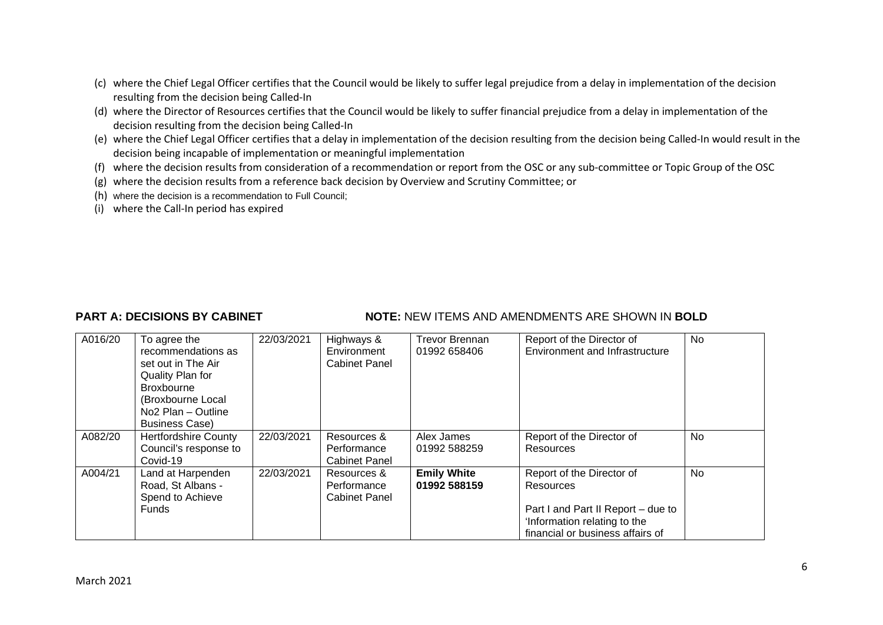- (c) where the Chief Legal Officer certifies that the Council would be likely to suffer legal prejudice from a delay in implementation of the decision resulting from the decision being Called-In
- (d) where the Director of Resources certifies that the Council would be likely to suffer financial prejudice from a delay in implementation of the decision resulting from the decision being Called-In
- (e) where the Chief Legal Officer certifies that a delay in implementation of the decision resulting from the decision being Called-In would result in the decision being incapable of implementation or meaningful implementation
- (f) where the decision results from consideration of a recommendation or report from the OSC or any sub-committee or Topic Group of the OSC
- (g) where the decision results from a reference back decision by Overview and Scrutiny Committee; or
- (h) where the decision is a recommendation to Full Council;
- (i) where the Call-In period has expired

## **PART A: DECISIONS BY CABINET NOTE: NEW ITEMS AND AMENDMENTS ARE SHOWN IN BOLD**

| A016/20 | To agree the<br>recommendations as<br>set out in The Air<br>Quality Plan for<br>Broxbourne<br>(Broxbourne Local<br>No <sub>2</sub> Plan - Outline<br><b>Business Case)</b> | 22/03/2021 | Highways &<br>Environment<br><b>Cabinet Panel</b>  | <b>Trevor Brennan</b><br>01992 658406 | Report of the Director of<br>Environment and Infrastructure                                                                                      | <b>No</b> |
|---------|----------------------------------------------------------------------------------------------------------------------------------------------------------------------------|------------|----------------------------------------------------|---------------------------------------|--------------------------------------------------------------------------------------------------------------------------------------------------|-----------|
| A082/20 | <b>Hertfordshire County</b><br>Council's response to<br>Covid-19                                                                                                           | 22/03/2021 | Resources &<br>Performance<br><b>Cabinet Panel</b> | Alex James<br>01992 588259            | Report of the Director of<br>Resources                                                                                                           | No        |
| A004/21 | Land at Harpenden<br>Road, St Albans -<br>Spend to Achieve<br>Funds                                                                                                        | 22/03/2021 | Resources &<br>Performance<br><b>Cabinet Panel</b> | <b>Emily White</b><br>01992 588159    | Report of the Director of<br>Resources<br>Part I and Part II Report - due to<br>'Information relating to the<br>financial or business affairs of | No        |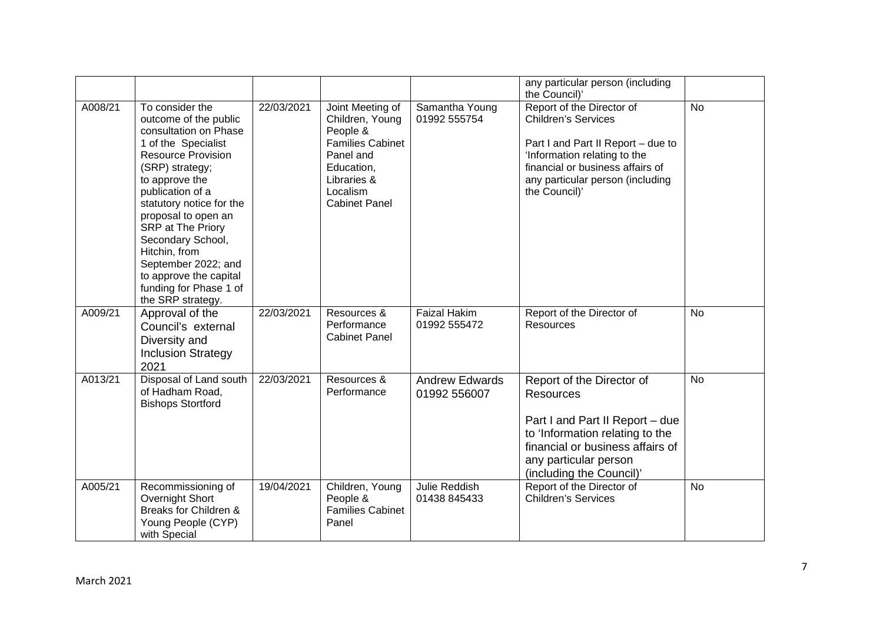|         |                                                                                                                                                                                                                                                                                                                                                                                              |            |                                                                                                                                                          |                                       | any particular person (including<br>the Council)'                                                                                                                                                                      |           |
|---------|----------------------------------------------------------------------------------------------------------------------------------------------------------------------------------------------------------------------------------------------------------------------------------------------------------------------------------------------------------------------------------------------|------------|----------------------------------------------------------------------------------------------------------------------------------------------------------|---------------------------------------|------------------------------------------------------------------------------------------------------------------------------------------------------------------------------------------------------------------------|-----------|
| A008/21 | To consider the<br>outcome of the public<br>consultation on Phase<br>1 of the Specialist<br><b>Resource Provision</b><br>(SRP) strategy;<br>to approve the<br>publication of a<br>statutory notice for the<br>proposal to open an<br>SRP at The Priory<br>Secondary School,<br>Hitchin, from<br>September 2022; and<br>to approve the capital<br>funding for Phase 1 of<br>the SRP strategy. | 22/03/2021 | Joint Meeting of<br>Children, Young<br>People &<br><b>Families Cabinet</b><br>Panel and<br>Education,<br>Libraries &<br>Localism<br><b>Cabinet Panel</b> | Samantha Young<br>01992 555754        | Report of the Director of<br><b>Children's Services</b><br>Part I and Part II Report - due to<br>'Information relating to the<br>financial or business affairs of<br>any particular person (including<br>the Council)' | <b>No</b> |
| A009/21 | Approval of the<br>Council's external<br>Diversity and<br><b>Inclusion Strategy</b><br>2021                                                                                                                                                                                                                                                                                                  | 22/03/2021 | Resources &<br>Performance<br><b>Cabinet Panel</b>                                                                                                       | <b>Faizal Hakim</b><br>01992 555472   | Report of the Director of<br>Resources                                                                                                                                                                                 | <b>No</b> |
| A013/21 | Disposal of Land south<br>of Hadham Road,<br><b>Bishops Stortford</b>                                                                                                                                                                                                                                                                                                                        | 22/03/2021 | Resources &<br>Performance                                                                                                                               | <b>Andrew Edwards</b><br>01992 556007 | Report of the Director of<br><b>Resources</b><br>Part I and Part II Report - due<br>to 'Information relating to the<br>financial or business affairs of<br>any particular person<br>(including the Council)'           | <b>No</b> |
| A005/21 | Recommissioning of<br>Overnight Short<br>Breaks for Children &<br>Young People (CYP)<br>with Special                                                                                                                                                                                                                                                                                         | 19/04/2021 | Children, Young<br>People &<br><b>Families Cabinet</b><br>Panel                                                                                          | Julie Reddish<br>01438 845433         | Report of the Director of<br><b>Children's Services</b>                                                                                                                                                                | No        |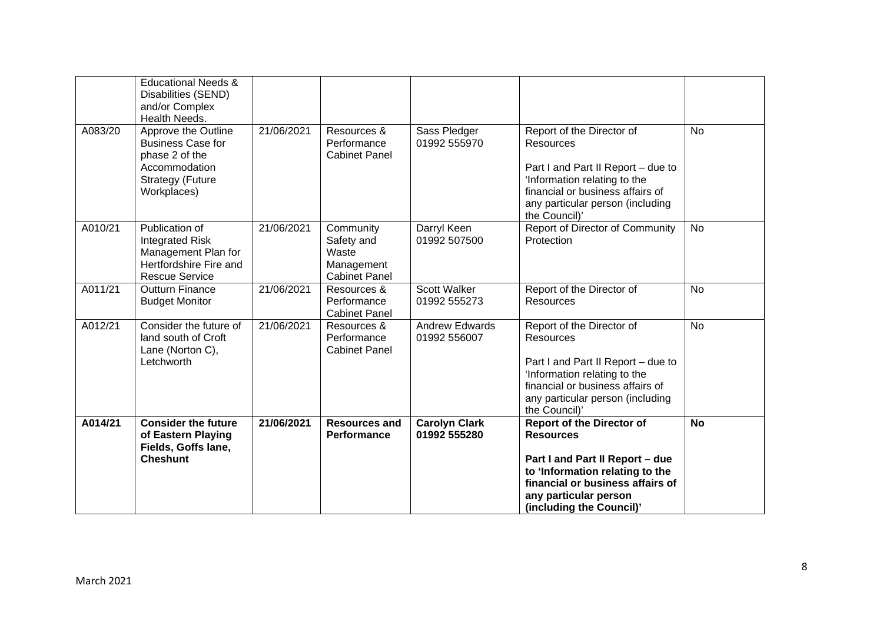|         | <b>Educational Needs &amp;</b><br>Disabilities (SEND)<br>and/or Complex<br>Health Needs.                                     |            |                                                                        |                                       |                                                                                                                                                                                                                     |           |
|---------|------------------------------------------------------------------------------------------------------------------------------|------------|------------------------------------------------------------------------|---------------------------------------|---------------------------------------------------------------------------------------------------------------------------------------------------------------------------------------------------------------------|-----------|
| A083/20 | Approve the Outline<br><b>Business Case for</b><br>phase 2 of the<br>Accommodation<br><b>Strategy (Future</b><br>Workplaces) | 21/06/2021 | Resources &<br>Performance<br><b>Cabinet Panel</b>                     | Sass Pledger<br>01992 555970          | Report of the Director of<br><b>Resources</b><br>Part I and Part II Report - due to<br>'Information relating to the<br>financial or business affairs of<br>any particular person (including<br>the Council)'        | <b>No</b> |
| A010/21 | Publication of<br><b>Integrated Risk</b><br>Management Plan for<br>Hertfordshire Fire and<br><b>Rescue Service</b>           | 21/06/2021 | Community<br>Safety and<br>Waste<br>Management<br><b>Cabinet Panel</b> | Darryl Keen<br>01992 507500           | <b>Report of Director of Community</b><br>Protection                                                                                                                                                                | <b>No</b> |
| A011/21 | <b>Outturn Finance</b><br><b>Budget Monitor</b>                                                                              | 21/06/2021 | Resources &<br>Performance<br><b>Cabinet Panel</b>                     | <b>Scott Walker</b><br>01992 555273   | Report of the Director of<br><b>Resources</b>                                                                                                                                                                       | <b>No</b> |
| A012/21 | Consider the future of<br>land south of Croft<br>Lane (Norton C),<br>Letchworth                                              | 21/06/2021 | Resources &<br>Performance<br><b>Cabinet Panel</b>                     | <b>Andrew Edwards</b><br>01992 556007 | Report of the Director of<br><b>Resources</b><br>Part I and Part II Report - due to<br>'Information relating to the<br>financial or business affairs of<br>any particular person (including<br>the Council)'        | <b>No</b> |
| A014/21 | <b>Consider the future</b><br>of Eastern Playing<br>Fields, Goffs lane,<br><b>Cheshunt</b>                                   | 21/06/2021 | <b>Resources and</b><br>Performance                                    | <b>Carolyn Clark</b><br>01992 555280  | <b>Report of the Director of</b><br><b>Resources</b><br>Part I and Part II Report - due<br>to 'Information relating to the<br>financial or business affairs of<br>any particular person<br>(including the Council)' | <b>No</b> |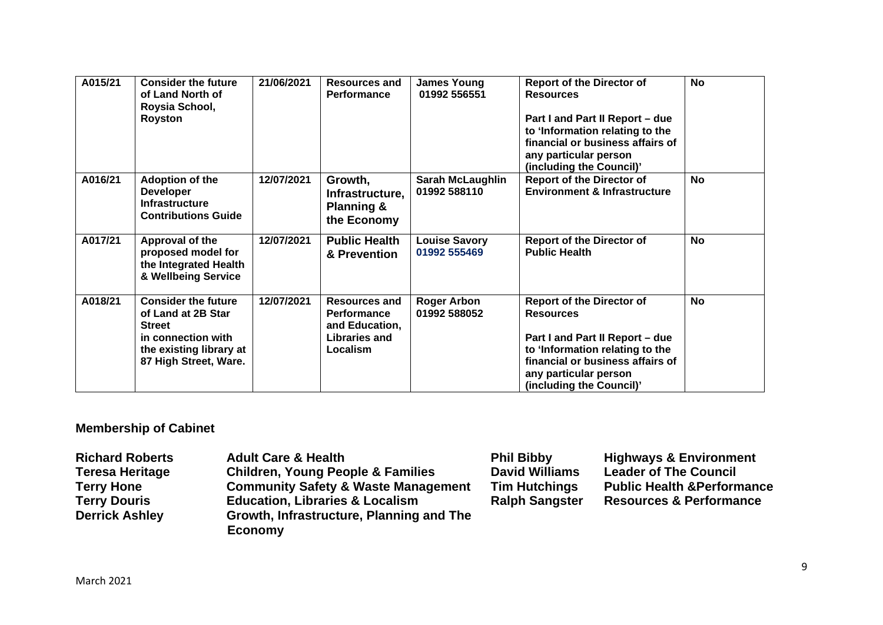| A015/21 | <b>Consider the future</b><br>of Land North of<br>Roysia School,<br>Royston                                                                 | 21/06/2021 | <b>Resources and</b><br>Performance                                                       | <b>James Young</b><br>01992 556551      | <b>Report of the Director of</b><br><b>Resources</b><br>Part I and Part II Report - due<br>to 'Information relating to the<br>financial or business affairs of<br>any particular person<br>(including the Council)' | <b>No</b> |
|---------|---------------------------------------------------------------------------------------------------------------------------------------------|------------|-------------------------------------------------------------------------------------------|-----------------------------------------|---------------------------------------------------------------------------------------------------------------------------------------------------------------------------------------------------------------------|-----------|
| A016/21 | <b>Adoption of the</b><br><b>Developer</b><br><b>Infrastructure</b><br><b>Contributions Guide</b>                                           | 12/07/2021 | Growth,<br>Infrastructure,<br><b>Planning &amp;</b><br>the Economy                        | <b>Sarah McLaughlin</b><br>01992 588110 | <b>Report of the Director of</b><br><b>Environment &amp; Infrastructure</b>                                                                                                                                         | No        |
| A017/21 | Approval of the<br>proposed model for<br>the Integrated Health<br>& Wellbeing Service                                                       | 12/07/2021 | <b>Public Health</b><br>& Prevention                                                      | <b>Louise Savory</b><br>01992 555469    | <b>Report of the Director of</b><br><b>Public Health</b>                                                                                                                                                            | No        |
| A018/21 | <b>Consider the future</b><br>of Land at 2B Star<br><b>Street</b><br>in connection with<br>the existing library at<br>87 High Street, Ware. | 12/07/2021 | <b>Resources and</b><br>Performance<br>and Education,<br><b>Libraries and</b><br>Localism | <b>Roger Arbon</b><br>01992 588052      | <b>Report of the Director of</b><br><b>Resources</b><br>Part I and Part II Report - due<br>to 'Information relating to the<br>financial or business affairs of<br>any particular person<br>(including the Council)' | No        |

# **Membership of Cabinet**

| <b>Richard Roberts</b><br><b>Teresa Heritage</b> | <b>Adult Care &amp; Health</b><br><b>Children, Young People &amp; Families</b> | <b>Phil Bibby</b><br><b>David Williams</b> | <b>Highways &amp; Environment</b><br><b>Leader of The Council</b> |
|--------------------------------------------------|--------------------------------------------------------------------------------|--------------------------------------------|-------------------------------------------------------------------|
| <b>Terry Hone</b>                                | <b>Community Safety &amp; Waste Management</b>                                 | <b>Tim Hutchings</b>                       | <b>Public Health &amp; Performance</b>                            |
| <b>Terry Douris</b>                              | <b>Education, Libraries &amp; Localism</b>                                     | <b>Ralph Sangster</b>                      | <b>Resources &amp; Performance</b>                                |
| <b>Derrick Ashley</b>                            | Growth, Infrastructure, Planning and The<br><b>Economy</b>                     |                                            |                                                                   |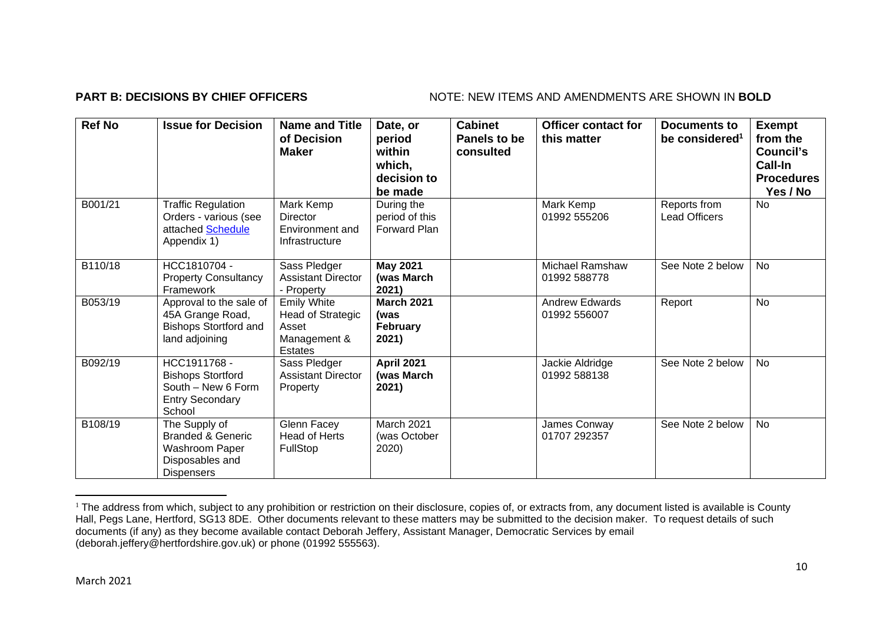### **PART B: DECISIONS BY CHIEF OFFICERS** NOTE: NEW ITEMS AND AMENDMENTS ARE SHOWN IN BOLD

| <b>Ref No</b> | <b>Issue for Decision</b>                                                                               | <b>Name and Title</b><br>of Decision<br><b>Maker</b>                               | Date, or<br>period<br>within<br>which,<br>decision to<br>be made | <b>Cabinet</b><br>Panels to be<br>consulted | <b>Officer contact for</b><br>this matter | Documents to<br>be considered <sup>1</sup> | <b>Exempt</b><br>from the<br>Council's<br>Call-In<br><b>Procedures</b><br>Yes / No |
|---------------|---------------------------------------------------------------------------------------------------------|------------------------------------------------------------------------------------|------------------------------------------------------------------|---------------------------------------------|-------------------------------------------|--------------------------------------------|------------------------------------------------------------------------------------|
| B001/21       | <b>Traffic Regulation</b><br>Orders - various (see<br>attached Schedule<br>Appendix 1)                  | Mark Kemp<br><b>Director</b><br>Environment and<br>Infrastructure                  | During the<br>period of this<br>Forward Plan                     |                                             | Mark Kemp<br>01992 555206                 | Reports from<br><b>Lead Officers</b>       | <b>No</b>                                                                          |
| B110/18       | HCC1810704 -<br><b>Property Consultancy</b><br>Framework                                                | Sass Pledger<br><b>Assistant Director</b><br>- Property                            | <b>May 2021</b><br>(was March<br>2021)                           |                                             | <b>Michael Ramshaw</b><br>01992 588778    | See Note 2 below                           | No                                                                                 |
| B053/19       | Approval to the sale of<br>45A Grange Road,<br><b>Bishops Stortford and</b><br>land adjoining           | <b>Emily White</b><br>Head of Strategic<br>Asset<br>Management &<br><b>Estates</b> | <b>March 2021</b><br>(was<br>February<br>2021)                   |                                             | <b>Andrew Edwards</b><br>01992 556007     | Report                                     | <b>No</b>                                                                          |
| B092/19       | HCC1911768 -<br><b>Bishops Stortford</b><br>South - New 6 Form<br><b>Entry Secondary</b><br>School      | Sass Pledger<br><b>Assistant Director</b><br>Property                              | April 2021<br>(was March<br>2021)                                |                                             | Jackie Aldridge<br>01992 588138           | See Note 2 below                           | <b>No</b>                                                                          |
| B108/19       | The Supply of<br><b>Branded &amp; Generic</b><br>Washroom Paper<br>Disposables and<br><b>Dispensers</b> | Glenn Facey<br><b>Head of Herts</b><br><b>FullStop</b>                             | March 2021<br>(was October<br>2020)                              |                                             | James Conway<br>01707 292357              | See Note 2 below                           | <b>No</b>                                                                          |

<sup>&</sup>lt;sup>1</sup> The address from which, subject to any prohibition or restriction on their disclosure, copies of, or extracts from, any document listed is available is County Hall, Pegs Lane, Hertford, SG13 8DE. Other documents relevant to these matters may be submitted to the decision maker. To request details of such documents (if any) as they become available contact Deborah Jeffery, Assistant Manager, Democratic Services by email (deborah.jeffery@hertfordshire.gov.uk) or phone (01992 555563).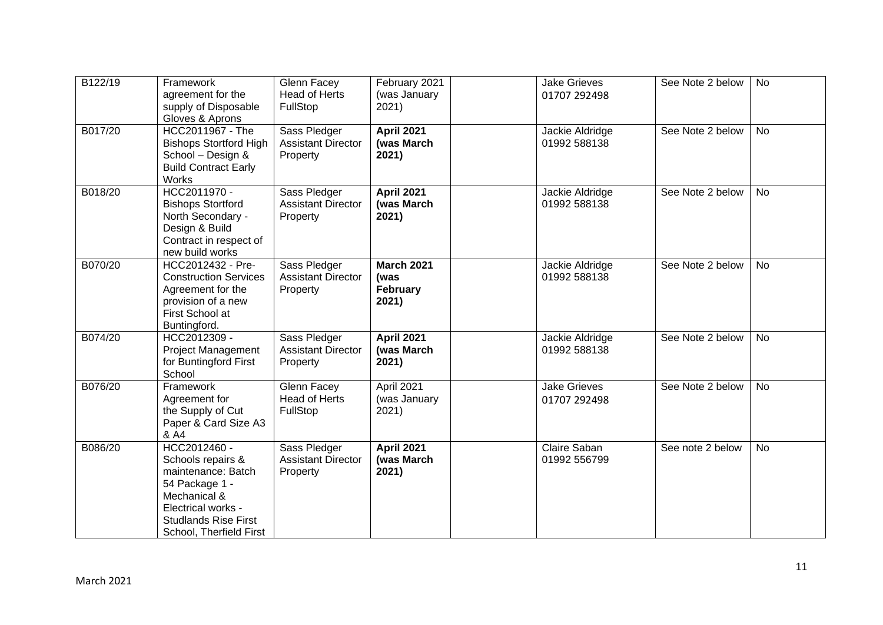| B122/19 | Framework<br>agreement for the<br>supply of Disposable                                                                                                                    | Glenn Facey<br><b>Head of Herts</b><br>FullStop       | February 2021<br>(was January<br>2021)         | <b>Jake Grieves</b><br>01707 292498 | See Note 2 below | <b>No</b> |
|---------|---------------------------------------------------------------------------------------------------------------------------------------------------------------------------|-------------------------------------------------------|------------------------------------------------|-------------------------------------|------------------|-----------|
|         | Gloves & Aprons                                                                                                                                                           |                                                       |                                                |                                     |                  |           |
| B017/20 | HCC2011967 - The<br><b>Bishops Stortford High</b><br>School - Design &<br><b>Build Contract Early</b><br>Works                                                            | Sass Pledger<br><b>Assistant Director</b><br>Property | <b>April 2021</b><br>(was March<br>2021)       | Jackie Aldridge<br>01992 588138     | See Note 2 below | <b>No</b> |
| B018/20 | HCC2011970 -<br><b>Bishops Stortford</b><br>North Secondary -<br>Design & Build<br>Contract in respect of<br>new build works                                              | Sass Pledger<br><b>Assistant Director</b><br>Property | <b>April 2021</b><br>(was March<br>2021)       | Jackie Aldridge<br>01992 588138     | See Note 2 below | <b>No</b> |
| B070/20 | HCC2012432 - Pre-<br><b>Construction Services</b><br>Agreement for the<br>provision of a new<br>First School at<br>Buntingford.                                           | Sass Pledger<br><b>Assistant Director</b><br>Property | <b>March 2021</b><br>(was<br>February<br>2021) | Jackie Aldridge<br>01992 588138     | See Note 2 below | <b>No</b> |
| B074/20 | HCC2012309 -<br><b>Project Management</b><br>for Buntingford First<br>School                                                                                              | Sass Pledger<br><b>Assistant Director</b><br>Property | <b>April 2021</b><br>(was March<br>2021)       | Jackie Aldridge<br>01992 588138     | See Note 2 below | <b>No</b> |
| B076/20 | Framework<br>Agreement for<br>the Supply of Cut<br>Paper & Card Size A3<br>& A4                                                                                           | Glenn Facey<br><b>Head of Herts</b><br>FullStop       | April 2021<br>(was January<br>2021)            | <b>Jake Grieves</b><br>01707 292498 | See Note 2 below | <b>No</b> |
| B086/20 | HCC2012460 -<br>Schools repairs &<br>maintenance: Batch<br>54 Package 1 -<br>Mechanical &<br>Electrical works -<br><b>Studlands Rise First</b><br>School, Therfield First | Sass Pledger<br><b>Assistant Director</b><br>Property | <b>April 2021</b><br>(was March<br>2021)       | Claire Saban<br>01992 556799        | See note 2 below | <b>No</b> |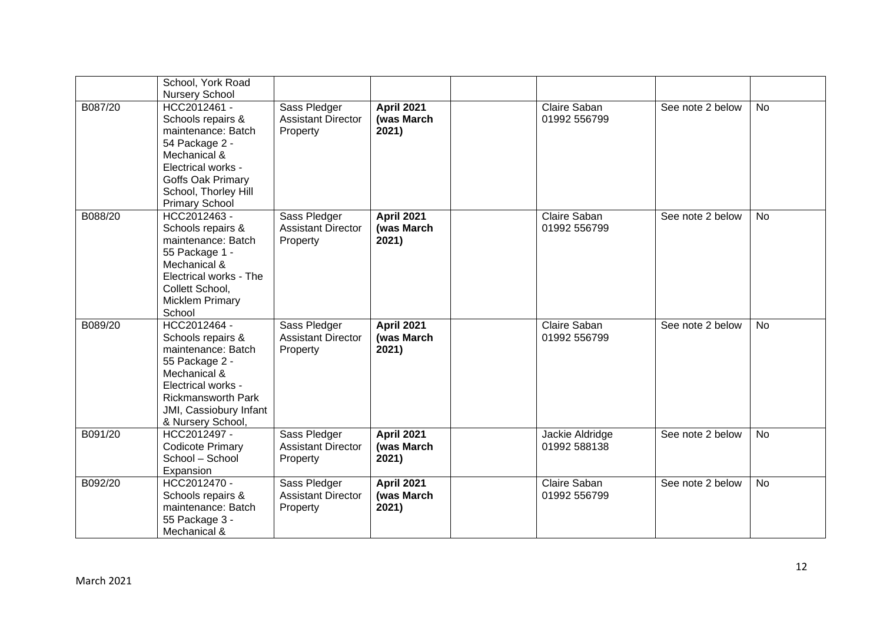|         | School, York Road<br><b>Nursery School</b>                                                                                                                                                  |                                                       |                                          |                                 |                  |           |
|---------|---------------------------------------------------------------------------------------------------------------------------------------------------------------------------------------------|-------------------------------------------------------|------------------------------------------|---------------------------------|------------------|-----------|
| B087/20 | HCC2012461 -<br>Schools repairs &<br>maintenance: Batch<br>54 Package 2 -<br>Mechanical &<br>Electrical works -<br>Goffs Oak Primary<br>School, Thorley Hill<br><b>Primary School</b>       | Sass Pledger<br><b>Assistant Director</b><br>Property | <b>April 2021</b><br>(was March<br>2021) | Claire Saban<br>01992 556799    | See note 2 below | <b>No</b> |
| B088/20 | HCC2012463 -<br>Schools repairs &<br>maintenance: Batch<br>55 Package 1 -<br>Mechanical &<br>Electrical works - The<br>Collett School,<br><b>Micklem Primary</b><br>School                  | Sass Pledger<br><b>Assistant Director</b><br>Property | <b>April 2021</b><br>(was March<br>2021) | Claire Saban<br>01992 556799    | See note 2 below | <b>No</b> |
| B089/20 | HCC2012464 -<br>Schools repairs &<br>maintenance: Batch<br>55 Package 2 -<br>Mechanical &<br>Electrical works -<br><b>Rickmansworth Park</b><br>JMI, Cassiobury Infant<br>& Nursery School, | Sass Pledger<br><b>Assistant Director</b><br>Property | <b>April 2021</b><br>(was March<br>2021) | Claire Saban<br>01992 556799    | See note 2 below | <b>No</b> |
| B091/20 | HCC2012497 -<br><b>Codicote Primary</b><br>School - School<br>Expansion                                                                                                                     | Sass Pledger<br><b>Assistant Director</b><br>Property | <b>April 2021</b><br>(was March<br>2021) | Jackie Aldridge<br>01992 588138 | See note 2 below | <b>No</b> |
| B092/20 | HCC2012470 -<br>Schools repairs &<br>maintenance: Batch<br>55 Package 3 -<br>Mechanical &                                                                                                   | Sass Pledger<br><b>Assistant Director</b><br>Property | <b>April 2021</b><br>(was March<br>2021) | Claire Saban<br>01992 556799    | See note 2 below | <b>No</b> |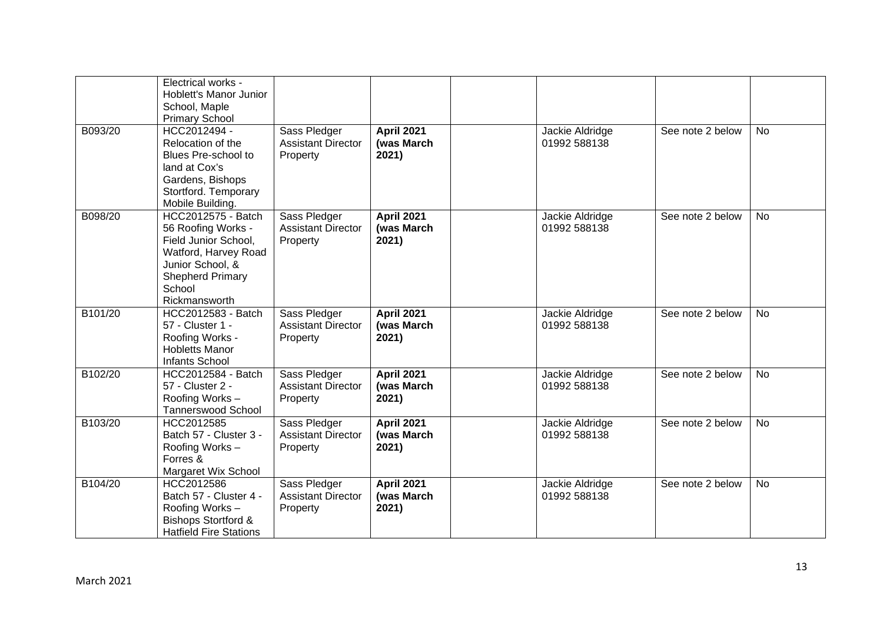|         | Electrical works -<br>Hoblett's Manor Junior<br>School, Maple<br><b>Primary School</b>                                                                             |                                                       |                                          |                                 |                  |           |
|---------|--------------------------------------------------------------------------------------------------------------------------------------------------------------------|-------------------------------------------------------|------------------------------------------|---------------------------------|------------------|-----------|
| B093/20 | HCC2012494 -<br>Relocation of the<br>Blues Pre-school to<br>land at Cox's<br>Gardens, Bishops<br>Stortford. Temporary<br>Mobile Building.                          | Sass Pledger<br><b>Assistant Director</b><br>Property | <b>April 2021</b><br>(was March<br>2021) | Jackie Aldridge<br>01992 588138 | See note 2 below | <b>No</b> |
| B098/20 | HCC2012575 - Batch<br>56 Roofing Works -<br>Field Junior School,<br>Watford, Harvey Road<br>Junior School, &<br><b>Shepherd Primary</b><br>School<br>Rickmansworth | Sass Pledger<br><b>Assistant Director</b><br>Property | <b>April 2021</b><br>(was March<br>2021) | Jackie Aldridge<br>01992 588138 | See note 2 below | No        |
| B101/20 | HCC2012583 - Batch<br>57 - Cluster 1 -<br>Roofing Works -<br><b>Hobletts Manor</b><br><b>Infants School</b>                                                        | Sass Pledger<br><b>Assistant Director</b><br>Property | <b>April 2021</b><br>(was March<br>2021) | Jackie Aldridge<br>01992 588138 | See note 2 below | <b>No</b> |
| B102/20 | HCC2012584 - Batch<br>57 - Cluster 2 -<br>Roofing Works-<br><b>Tannerswood School</b>                                                                              | Sass Pledger<br><b>Assistant Director</b><br>Property | <b>April 2021</b><br>(was March<br>2021) | Jackie Aldridge<br>01992 588138 | See note 2 below | <b>No</b> |
| B103/20 | HCC2012585<br>Batch 57 - Cluster 3 -<br>Roofing Works-<br>Forres &<br>Margaret Wix School                                                                          | Sass Pledger<br><b>Assistant Director</b><br>Property | <b>April 2021</b><br>(was March<br>2021) | Jackie Aldridge<br>01992 588138 | See note 2 below | <b>No</b> |
| B104/20 | HCC2012586<br>Batch 57 - Cluster 4 -<br>Roofing Works-<br><b>Bishops Stortford &amp;</b><br><b>Hatfield Fire Stations</b>                                          | Sass Pledger<br><b>Assistant Director</b><br>Property | <b>April 2021</b><br>(was March<br>2021) | Jackie Aldridge<br>01992 588138 | See note 2 below | <b>No</b> |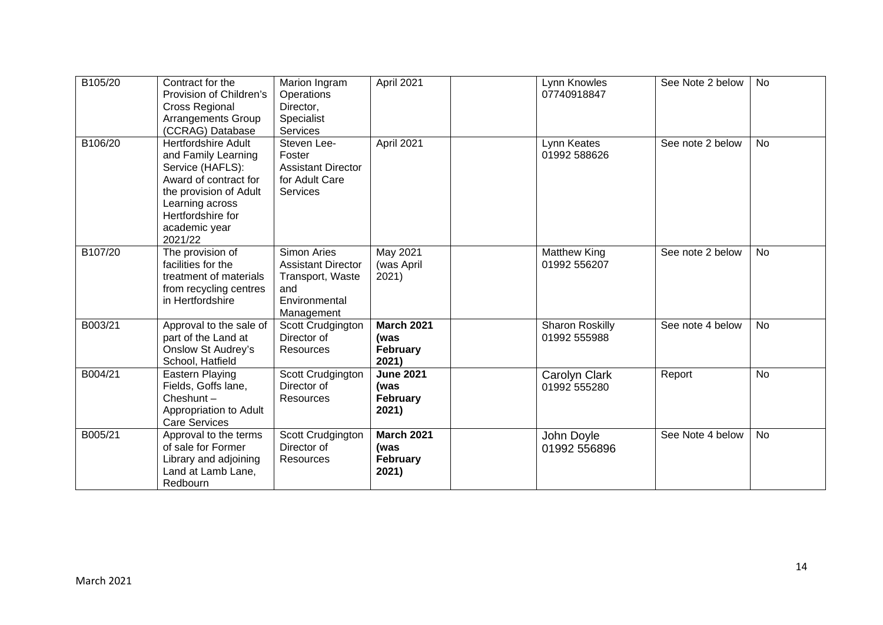| B105/20 | Contract for the<br>Provision of Children's<br><b>Cross Regional</b><br><b>Arrangements Group</b><br>(CCRAG) Database                                                                        | Marion Ingram<br>Operations<br>Director,<br>Specialist<br><b>Services</b>                                 | April 2021                                            | Lynn Knowles<br>07740918847     | See Note 2 below | <b>No</b> |
|---------|----------------------------------------------------------------------------------------------------------------------------------------------------------------------------------------------|-----------------------------------------------------------------------------------------------------------|-------------------------------------------------------|---------------------------------|------------------|-----------|
| B106/20 | <b>Hertfordshire Adult</b><br>and Family Learning<br>Service (HAFLS):<br>Award of contract for<br>the provision of Adult<br>Learning across<br>Hertfordshire for<br>academic year<br>2021/22 | Steven Lee-<br>Foster<br><b>Assistant Director</b><br>for Adult Care<br><b>Services</b>                   | April 2021                                            | Lynn Keates<br>01992 588626     | See note 2 below | No        |
| B107/20 | The provision of<br>facilities for the<br>treatment of materials<br>from recycling centres<br>in Hertfordshire                                                                               | <b>Simon Aries</b><br><b>Assistant Director</b><br>Transport, Waste<br>and<br>Environmental<br>Management | May 2021<br>(was April<br>2021)                       | Matthew King<br>01992 556207    | See note 2 below | <b>No</b> |
| B003/21 | Approval to the sale of<br>part of the Land at<br><b>Onslow St Audrey's</b><br>School, Hatfield                                                                                              | Scott Crudgington<br>Director of<br><b>Resources</b>                                                      | <b>March 2021</b><br>(was<br>February<br>2021)        | Sharon Roskilly<br>01992 555988 | See note 4 below | <b>No</b> |
| B004/21 | Eastern Playing<br>Fields, Goffs lane,<br>Cheshunt $-$<br>Appropriation to Adult<br><b>Care Services</b>                                                                                     | Scott Crudgington<br>Director of<br><b>Resources</b>                                                      | <b>June 2021</b><br>(was<br>February<br>2021)         | Carolyn Clark<br>01992 555280   | Report           | <b>No</b> |
| B005/21 | Approval to the terms<br>of sale for Former<br>Library and adjoining<br>Land at Lamb Lane,<br>Redbourn                                                                                       | Scott Crudgington<br>Director of<br>Resources                                                             | <b>March 2021</b><br>(was<br><b>February</b><br>2021) | John Doyle<br>01992 556896      | See Note 4 below | <b>No</b> |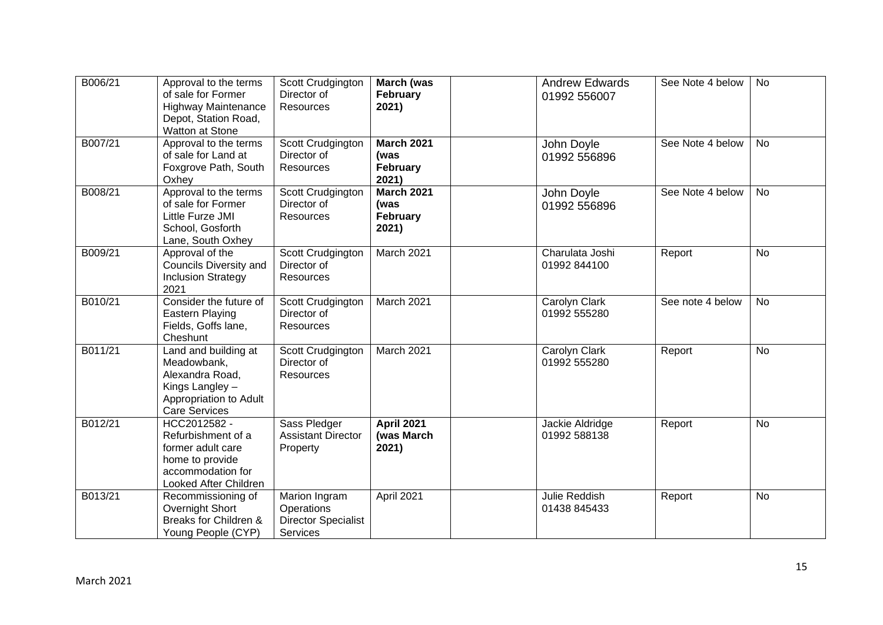| B006/21 | Approval to the terms<br>of sale for Former<br><b>Highway Maintenance</b><br>Depot, Station Road,<br>Watton at Stone        | Scott Crudgington<br>Director of<br><b>Resources</b>                  | March (was<br>February<br>2021)                | <b>Andrew Edwards</b><br>01992 556007 | See Note 4 below | No        |
|---------|-----------------------------------------------------------------------------------------------------------------------------|-----------------------------------------------------------------------|------------------------------------------------|---------------------------------------|------------------|-----------|
| B007/21 | Approval to the terms<br>of sale for Land at<br>Foxgrove Path, South<br>Oxhey                                               | Scott Crudgington<br>Director of<br><b>Resources</b>                  | <b>March 2021</b><br>(was<br>February<br>2021) | John Doyle<br>01992 556896            | See Note 4 below | <b>No</b> |
| B008/21 | Approval to the terms<br>of sale for Former<br>Little Furze JMI<br>School, Gosforth<br>Lane, South Oxhey                    | Scott Crudgington<br>Director of<br><b>Resources</b>                  | <b>March 2021</b><br>(was<br>February<br>2021) | John Doyle<br>01992 556896            | See Note 4 below | <b>No</b> |
| B009/21 | Approval of the<br>Councils Diversity and<br><b>Inclusion Strategy</b><br>2021                                              | Scott Crudgington<br>Director of<br><b>Resources</b>                  | March 2021                                     | Charulata Joshi<br>01992 844100       | Report           | <b>No</b> |
| B010/21 | Consider the future of<br>Eastern Playing<br>Fields, Goffs lane,<br>Cheshunt                                                | Scott Crudgington<br>Director of<br><b>Resources</b>                  | March 2021                                     | Carolyn Clark<br>01992 555280         | See note 4 below | No        |
| B011/21 | Land and building at<br>Meadowbank,<br>Alexandra Road,<br>Kings Langley -<br>Appropriation to Adult<br><b>Care Services</b> | Scott Crudgington<br>Director of<br><b>Resources</b>                  | March 2021                                     | Carolyn Clark<br>01992 555280         | Report           | <b>No</b> |
| B012/21 | HCC2012582 -<br>Refurbishment of a<br>former adult care<br>home to provide<br>accommodation for<br>Looked After Children    | Sass Pledger<br><b>Assistant Director</b><br>Property                 | <b>April 2021</b><br>(was March<br>2021)       | Jackie Aldridge<br>01992 588138       | Report           | <b>No</b> |
| B013/21 | Recommissioning of<br>Overnight Short<br>Breaks for Children &<br>Young People (CYP)                                        | Marion Ingram<br>Operations<br><b>Director Specialist</b><br>Services | April 2021                                     | <b>Julie Reddish</b><br>01438 845433  | Report           | No        |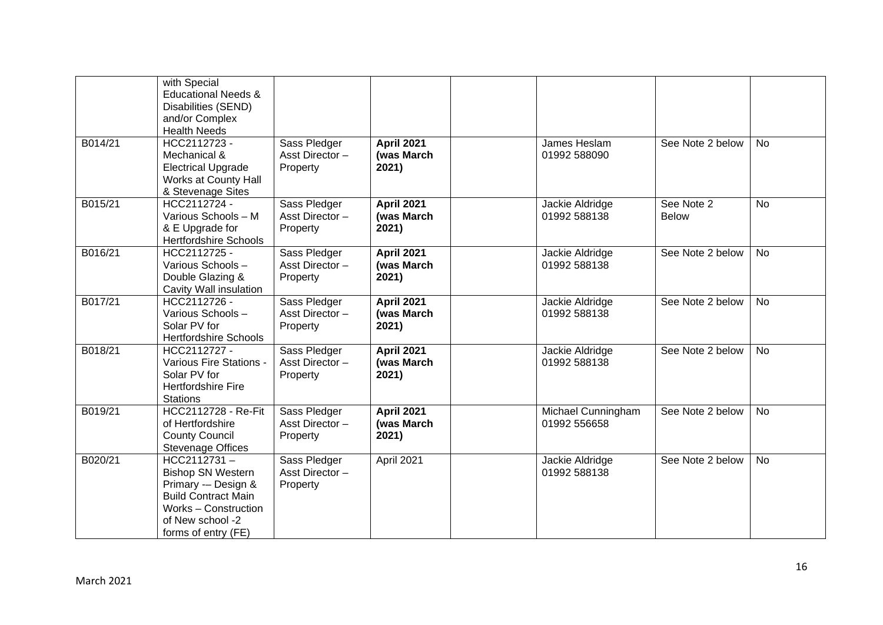|         | with Special<br><b>Educational Needs &amp;</b><br>Disabilities (SEND)<br>and/or Complex<br><b>Health Needs</b>                                                  |                                            |                                          |                                    |                            |           |
|---------|-----------------------------------------------------------------------------------------------------------------------------------------------------------------|--------------------------------------------|------------------------------------------|------------------------------------|----------------------------|-----------|
| B014/21 | HCC2112723 -<br>Mechanical &<br><b>Electrical Upgrade</b><br>Works at County Hall<br>& Stevenage Sites                                                          | Sass Pledger<br>Asst Director-<br>Property | <b>April 2021</b><br>(was March<br>2021) | James Heslam<br>01992 588090       | See Note 2 below           | <b>No</b> |
| B015/21 | HCC2112724 -<br>Various Schools - M<br>& E Upgrade for<br><b>Hertfordshire Schools</b>                                                                          | Sass Pledger<br>Asst Director-<br>Property | <b>April 2021</b><br>(was March<br>2021) | Jackie Aldridge<br>01992 588138    | See Note 2<br><b>Below</b> | <b>No</b> |
| B016/21 | HCC2112725 -<br>Various Schools-<br>Double Glazing &<br>Cavity Wall insulation                                                                                  | Sass Pledger<br>Asst Director-<br>Property | <b>April 2021</b><br>(was March<br>2021) | Jackie Aldridge<br>01992 588138    | See Note 2 below           | <b>No</b> |
| B017/21 | HCC2112726 -<br>Various Schools-<br>Solar PV for<br><b>Hertfordshire Schools</b>                                                                                | Sass Pledger<br>Asst Director-<br>Property | <b>April 2021</b><br>(was March<br>2021) | Jackie Aldridge<br>01992 588138    | See Note 2 below           | <b>No</b> |
| B018/21 | HCC2112727 -<br>Various Fire Stations -<br>Solar PV for<br>Hertfordshire Fire<br><b>Stations</b>                                                                | Sass Pledger<br>Asst Director-<br>Property | <b>April 2021</b><br>(was March<br>2021) | Jackie Aldridge<br>01992 588138    | See Note 2 below           | <b>No</b> |
| B019/21 | HCC2112728 - Re-Fit<br>of Hertfordshire<br><b>County Council</b><br><b>Stevenage Offices</b>                                                                    | Sass Pledger<br>Asst Director-<br>Property | <b>April 2021</b><br>(was March<br>2021) | Michael Cunningham<br>01992 556658 | See Note 2 below           | <b>No</b> |
| B020/21 | HCC2112731-<br><b>Bishop SN Western</b><br>Primary -- Design &<br><b>Build Contract Main</b><br>Works - Construction<br>of New school -2<br>forms of entry (FE) | Sass Pledger<br>Asst Director-<br>Property | April 2021                               | Jackie Aldridge<br>01992 588138    | See Note 2 below           | No.       |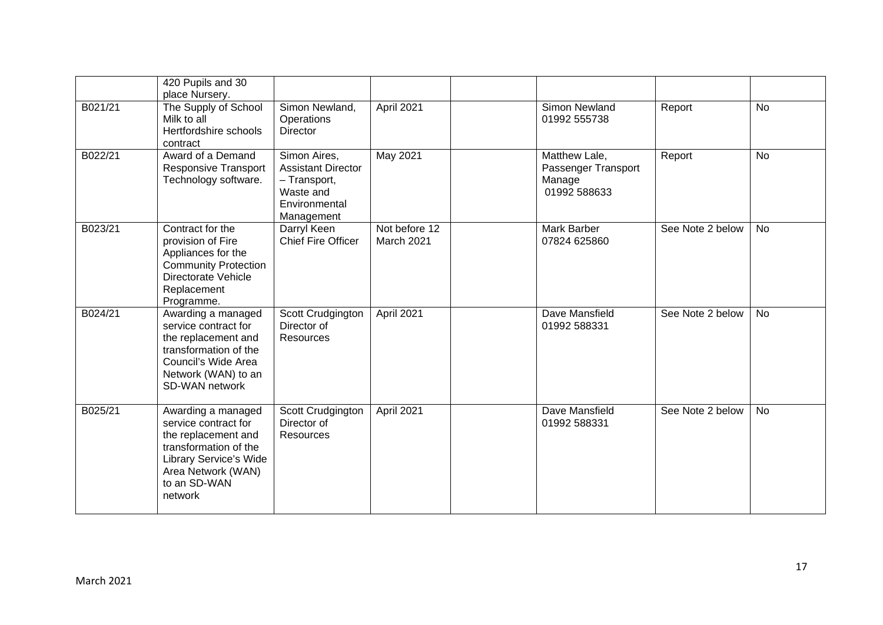|         | 420 Pupils and 30<br>place Nursery.                                                                                                                                          |                                                                                                       |                             |                                                                |                  |           |
|---------|------------------------------------------------------------------------------------------------------------------------------------------------------------------------------|-------------------------------------------------------------------------------------------------------|-----------------------------|----------------------------------------------------------------|------------------|-----------|
| B021/21 | The Supply of School<br>Milk to all<br>Hertfordshire schools<br>contract                                                                                                     | Simon Newland,<br>Operations<br><b>Director</b>                                                       | April 2021                  | Simon Newland<br>01992 555738                                  | Report           | <b>No</b> |
| B022/21 | Award of a Demand<br><b>Responsive Transport</b><br>Technology software.                                                                                                     | Simon Aires,<br><b>Assistant Director</b><br>- Transport,<br>Waste and<br>Environmental<br>Management | <b>May 2021</b>             | Matthew Lale,<br>Passenger Transport<br>Manage<br>01992 588633 | Report           | <b>No</b> |
| B023/21 | Contract for the<br>provision of Fire<br>Appliances for the<br><b>Community Protection</b><br>Directorate Vehicle<br>Replacement<br>Programme.                               | Darryl Keen<br><b>Chief Fire Officer</b>                                                              | Not before 12<br>March 2021 | Mark Barber<br>07824 625860                                    | See Note 2 below | <b>No</b> |
| B024/21 | Awarding a managed<br>service contract for<br>the replacement and<br>transformation of the<br>Council's Wide Area<br>Network (WAN) to an<br>SD-WAN network                   | Scott Crudgington<br>Director of<br><b>Resources</b>                                                  | April 2021                  | Dave Mansfield<br>01992 588331                                 | See Note 2 below | <b>No</b> |
| B025/21 | Awarding a managed<br>service contract for<br>the replacement and<br>transformation of the<br><b>Library Service's Wide</b><br>Area Network (WAN)<br>to an SD-WAN<br>network | Scott Crudgington<br>Director of<br><b>Resources</b>                                                  | April 2021                  | Dave Mansfield<br>01992 588331                                 | See Note 2 below | <b>No</b> |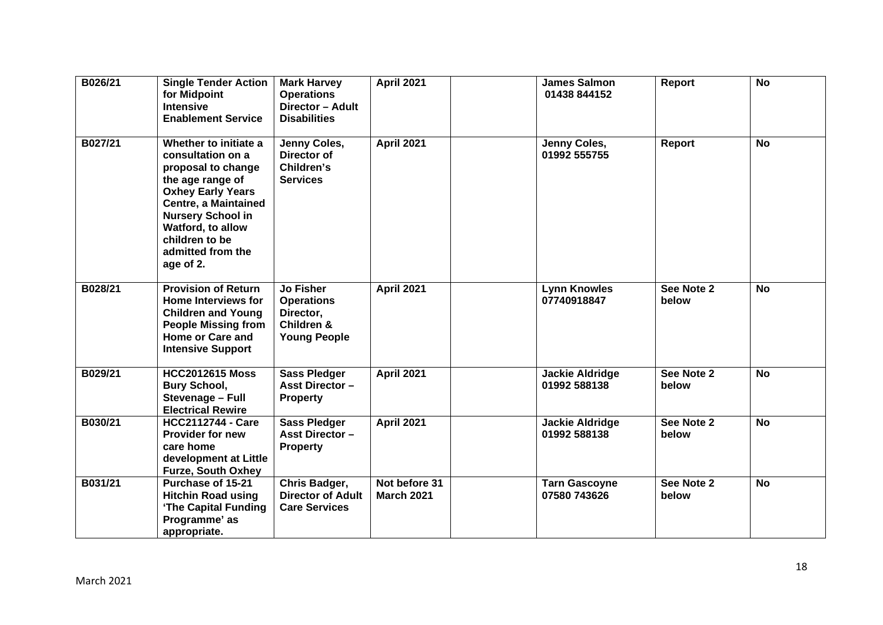| B026/21 | <b>Single Tender Action</b><br>for Midpoint<br><b>Intensive</b><br><b>Enablement Service</b>                                                                                                                                                         | <b>Mark Harvey</b><br><b>Operations</b><br>Director - Adult<br><b>Disabilities</b>          | <b>April 2021</b>                  | <b>James Salmon</b><br>01438 844152    | Report              | <b>No</b> |
|---------|------------------------------------------------------------------------------------------------------------------------------------------------------------------------------------------------------------------------------------------------------|---------------------------------------------------------------------------------------------|------------------------------------|----------------------------------------|---------------------|-----------|
| B027/21 | Whether to initiate a<br>consultation on a<br>proposal to change<br>the age range of<br><b>Oxhey Early Years</b><br><b>Centre, a Maintained</b><br><b>Nursery School in</b><br>Watford, to allow<br>children to be<br>admitted from the<br>age of 2. | Jenny Coles,<br>Director of<br>Children's<br><b>Services</b>                                | <b>April 2021</b>                  | Jenny Coles,<br>01992 555755           | Report              | <b>No</b> |
| B028/21 | <b>Provision of Return</b><br><b>Home Interviews for</b><br><b>Children and Young</b><br><b>People Missing from</b><br><b>Home or Care and</b><br><b>Intensive Support</b>                                                                           | Jo Fisher<br><b>Operations</b><br>Director,<br><b>Children &amp;</b><br><b>Young People</b> | <b>April 2021</b>                  | <b>Lynn Knowles</b><br>07740918847     | See Note 2<br>below | <b>No</b> |
| B029/21 | <b>HCC2012615 Moss</b><br><b>Bury School,</b><br>Stevenage - Full<br><b>Electrical Rewire</b>                                                                                                                                                        | <b>Sass Pledger</b><br><b>Asst Director -</b><br><b>Property</b>                            | <b>April 2021</b>                  | <b>Jackie Aldridge</b><br>01992 588138 | See Note 2<br>below | <b>No</b> |
| B030/21 | <b>HCC2112744 - Care</b><br><b>Provider for new</b><br>care home<br>development at Little<br><b>Furze, South Oxhey</b>                                                                                                                               | <b>Sass Pledger</b><br><b>Asst Director -</b><br><b>Property</b>                            | <b>April 2021</b>                  | <b>Jackie Aldridge</b><br>01992 588138 | See Note 2<br>below | <b>No</b> |
| B031/21 | Purchase of 15-21<br><b>Hitchin Road using</b><br>'The Capital Funding<br>Programme' as<br>appropriate.                                                                                                                                              | Chris Badger,<br><b>Director of Adult</b><br><b>Care Services</b>                           | Not before 31<br><b>March 2021</b> | <b>Tarn Gascoyne</b><br>07580 743626   | See Note 2<br>below | <b>No</b> |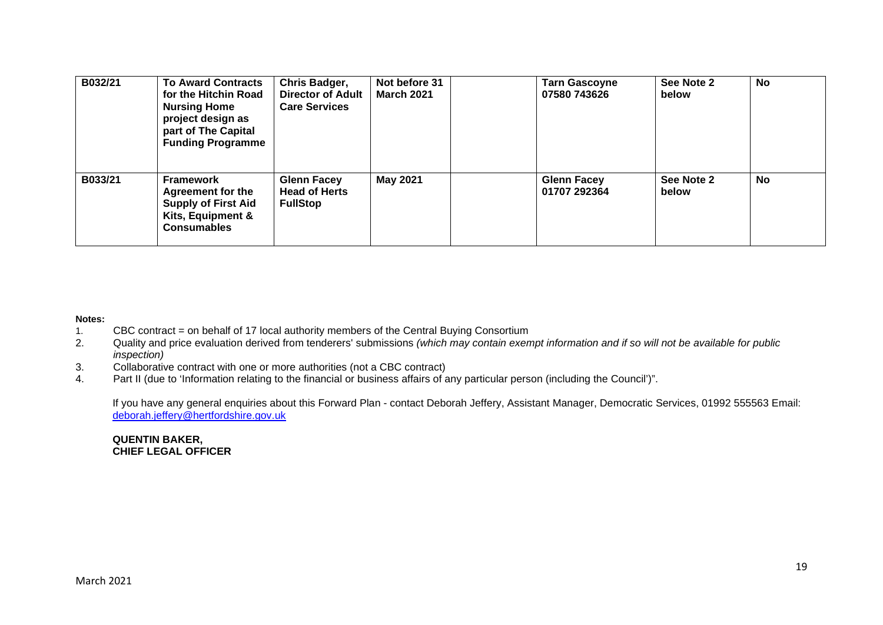| B032/21 | <b>To Award Contracts</b><br>for the Hitchin Road<br><b>Nursing Home</b><br>project design as<br>part of The Capital<br><b>Funding Programme</b> | Chris Badger,<br><b>Director of Adult</b><br><b>Care Services</b> | Not before 31<br><b>March 2021</b> | <b>Tarn Gascoyne</b><br>07580 743626 | See Note 2<br>below | <b>No</b> |
|---------|--------------------------------------------------------------------------------------------------------------------------------------------------|-------------------------------------------------------------------|------------------------------------|--------------------------------------|---------------------|-----------|
| B033/21 | <b>Framework</b><br><b>Agreement for the</b><br><b>Supply of First Aid</b><br>Kits, Equipment &<br><b>Consumables</b>                            | <b>Glenn Facey</b><br><b>Head of Herts</b><br><b>FullStop</b>     | May 2021                           | <b>Glenn Facey</b><br>01707 292364   | See Note 2<br>below | <b>No</b> |

# **Notes:**

- 1. CBC contract = on behalf of 17 local authority members of the Central Buying Consortium
- 2. Quality and price evaluation derived from tenderers' submissions *(which may contain exempt information and if so will not be available for public inspection)*
- 3. Collaborative contract with one or more authorities (not a CBC contract)
- 4. Part II (due to 'Information relating to the financial or business affairs of any particular person (including the Council')".

If you have any general enquiries about this Forward Plan - contact Deborah Jeffery, Assistant Manager, Democratic Services, 01992 555563 Email: deborah.jeffery@hertfordshire.gov.uk

### **QUENTIN BAKER, CHIEF LEGAL OFFICER**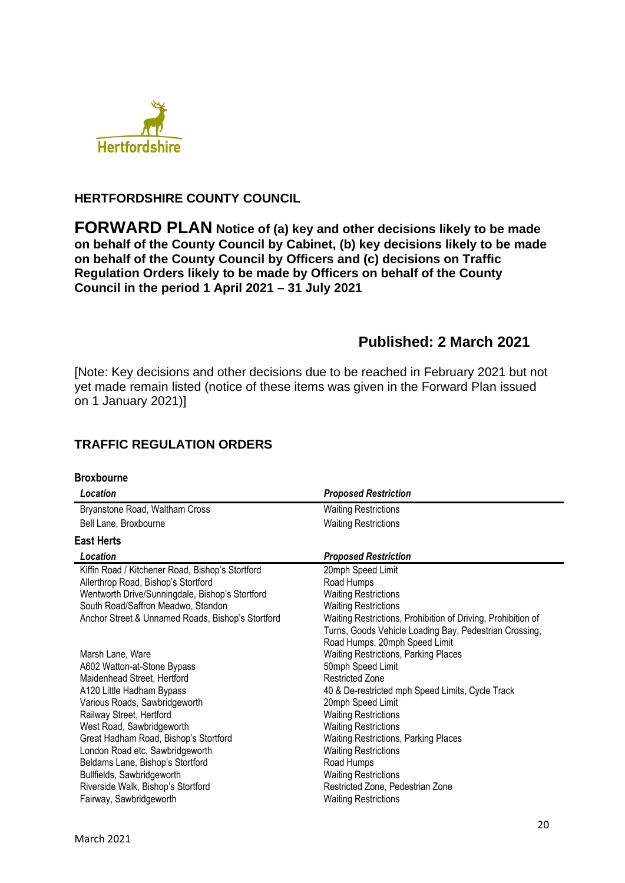

## **HERTFORDSHIRE COUNTY COUNCIL**

**FORWARD PLAN Notice of (a) key and other decisions likely to be made on behalf of the County Council by Cabinet, (b) key decisions likely to be made on behalf of the County Council by Officers and (c) decisions on Traffic Regulation Orders likely to be made by Officers on behalf of the County Council in the period 1 April 2021 – 31 July 2021** 

# **Published: 2 March 2021**

[Note: Key decisions and other decisions due to be reached in February 2021 but not yet made remain listed (notice of these items was given in the Forward Plan issued on 1 January 2021)]

# **TRAFFIC REGULATION ORDERS**

| <b>Broxbourne</b>                                 |                                                              |
|---------------------------------------------------|--------------------------------------------------------------|
| Location                                          | <b>Proposed Restriction</b>                                  |
| Bryanstone Road, Waltham Cross                    | <b>Waiting Restrictions</b>                                  |
| Bell Lane, Broxbourne                             | <b>Waiting Restrictions</b>                                  |
| <b>East Herts</b>                                 |                                                              |
| Location                                          | <b>Proposed Restriction</b>                                  |
| Kiffin Road / Kitchener Road, Bishop's Stortford  | 20mph Speed Limit                                            |
| Allerthrop Road, Bishop's Stortford               | Road Humps                                                   |
| Wentworth Drive/Sunningdale, Bishop's Stortford   | <b>Waiting Restrictions</b>                                  |
| South Road/Saffron Meadwo, Standon                | <b>Waiting Restrictions</b>                                  |
| Anchor Street & Unnamed Roads, Bishop's Stortford | Waiting Restrictions, Prohibition of Driving, Prohibition of |
|                                                   | Turns, Goods Vehicle Loading Bay, Pedestrian Crossing,       |
|                                                   | Road Humps, 20mph Speed Limit                                |
| Marsh Lane, Ware                                  | <b>Waiting Restrictions, Parking Places</b>                  |
| A602 Watton-at-Stone Bypass                       | 50mph Speed Limit                                            |
| Maidenhead Street, Hertford                       | <b>Restricted Zone</b>                                       |
| A120 Little Hadham Bypass                         | 40 & De-restricted mph Speed Limits, Cycle Track             |
| Various Roads, Sawbridgeworth                     | 20mph Speed Limit                                            |
| Railway Street, Hertford                          | <b>Waiting Restrictions</b>                                  |
| West Road, Sawbridgeworth                         | <b>Waiting Restrictions</b>                                  |
| Great Hadham Road, Bishop's Stortford             | <b>Waiting Restrictions, Parking Places</b>                  |
| London Road etc, Sawbridgeworth                   | <b>Waiting Restrictions</b>                                  |
| Beldams Lane, Bishop's Stortford                  | Road Humps                                                   |
| Bullfields, Sawbridgeworth                        | <b>Waiting Restrictions</b>                                  |
| Riverside Walk, Bishop's Stortford                | Restricted Zone, Pedestrian Zone                             |
| Fairway, Sawbridgeworth                           | <b>Waiting Restrictions</b>                                  |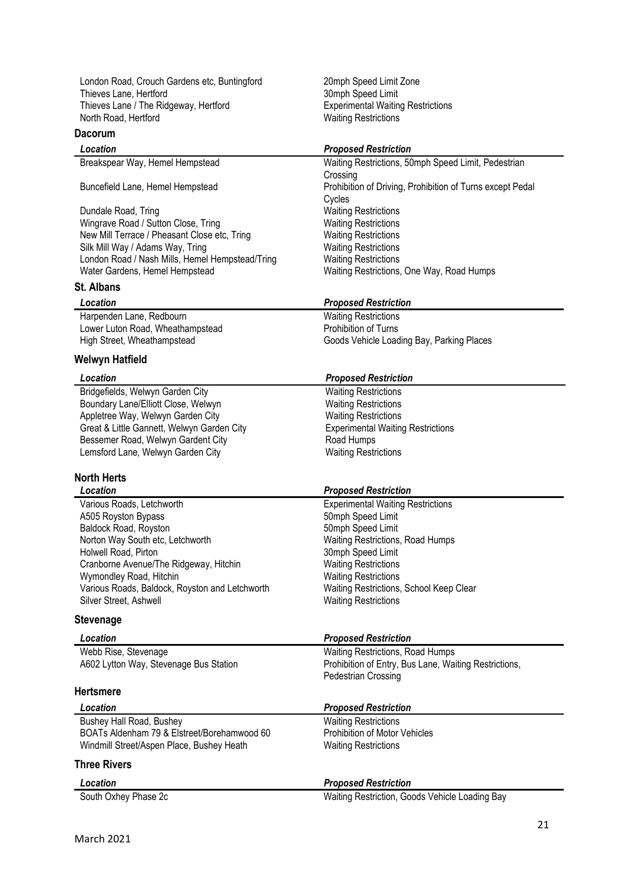London Road, Crouch Gardens etc, Buntingford 20mph Speed Limit Zone Thieves Lane, Hertford<br>
Thieves Lane / The Ridgeway, Hertford<br>
Thieves Lane / The Ridgeway, Hertford<br>
Thieves Lane / The Ridgeway, Hertford<br>
Thieves Lane / The Ridgeway, Hertford Thieves Lane / The Ridgeway, Hertford North Road, Hertford **Waiting Restrictions** 

### **Dacorum**

Dundale Road, Tring **National Contract Contract Contract Contract Contract Contract Contract Contract Contract Contract Contract Contract Contract Contract Contract Contract Contract Contract Contract Contract Contract Con** Wingrave Road / Sutton Close, Tring Waiting Restrictions New Mill Terrace / Pheasant Close etc, Tring Waiting Restrictions<br>Silk Mill Way / Adams Way, Tring Waiting Restrictions Silk Mill Way / Adams Way, Tring Waiting Restrictions<br>
London Road / Nash Mills, Hemel Hempstead/Tring Waiting Restrictions London Road / Nash Mills, Hemel Hempstead/Tring Water Gardens, Hemel Hempstead Waiting Restrictions, One Way, Road Humps

#### **St. Albans**

Harpenden Lane, Redbourn<br>
Lower Luton Road, Wheathampstead<br>
Prohibition of Turns Lower Luton Road, Wheathampstead

#### **Welwyn Hatfield**

Bridgefields, Welwyn Garden City Waiting Restrictions Boundary Lane/Elliott Close, Welwyn Waiting Restrictions Appletree Way, Welwyn Garden City<br>
Great & Little Gannett, Welwyn Garden City<br>
Experimental Waiting Restrictions Great & Little Gannett, Welwyn Garden City Bessemer Road, Welwyn Gardent City **Road Humps** Lemsford Lane, Welwyn Garden City Waiting Restrictions

#### **North Herts**

| Location                                       | <b>Proposed Restriction</b>              |
|------------------------------------------------|------------------------------------------|
| Various Roads, Letchworth                      | <b>Experimental Waiting Restrictions</b> |
| A505 Royston Bypass                            | 50mph Speed Limit                        |
| Baldock Road, Royston                          | 50mph Speed Limit                        |
| Norton Way South etc, Letchworth               | Waiting Restrictions, Road Humps         |
| Holwell Road, Pirton                           | 30mph Speed Limit                        |
| Cranborne Avenue/The Ridgeway, Hitchin         | <b>Waiting Restrictions</b>              |
| Wymondley Road, Hitchin                        | <b>Waiting Restrictions</b>              |
| Various Roads, Baldock, Royston and Letchworth | Waiting Restrictions, School Keep Clear  |
| Silver Street, Ashwell                         | <b>Waiting Restrictions</b>              |
|                                                |                                          |

#### **Stevenage**

| Location                               | <b>Proposed Restriction</b>                                                         |
|----------------------------------------|-------------------------------------------------------------------------------------|
| Webb Rise, Stevenage                   | Waiting Restrictions, Road Humps                                                    |
| A602 Lytton Way, Stevenage Bus Station | Prohibition of Entry, Bus Lane, Waiting Restrictions,<br><b>Pedestrian Crossing</b> |
| Hertsmere                              |                                                                                     |
|                                        |                                                                                     |

| Location                                    | <b>Proposed Restriction</b>          |
|---------------------------------------------|--------------------------------------|
| Bushey Hall Road, Bushey                    | <b>Waiting Restrictions</b>          |
| BOATs Aldenham 79 & Elstreet/Borehamwood 60 | <b>Prohibition of Motor Vehicles</b> |
| Windmill Street/Aspen Place, Bushey Heath   | <b>Waiting Restrictions</b>          |
| <b>Three Rivers</b>                         |                                      |

| Location             | <b>Proposed Restriction</b>                    |
|----------------------|------------------------------------------------|
| South Oxhey Phase 2c | Waiting Restriction, Goods Vehicle Loading Bay |

#### *Location Proposed Restriction*

Breakspear Way, Hemel Hempstead Waiting Restrictions, 50mph Speed Limit, Pedestrian **Crossing** Buncefield Lane, Hemel Hempstead Prohibition of Driving, Prohibition of Turns except Pedal Cycles

#### *Location Proposed Restriction*

High Street, Wheathampstead Goods Vehicle Loading Bay, Parking Places

### *Location Proposed Restriction*